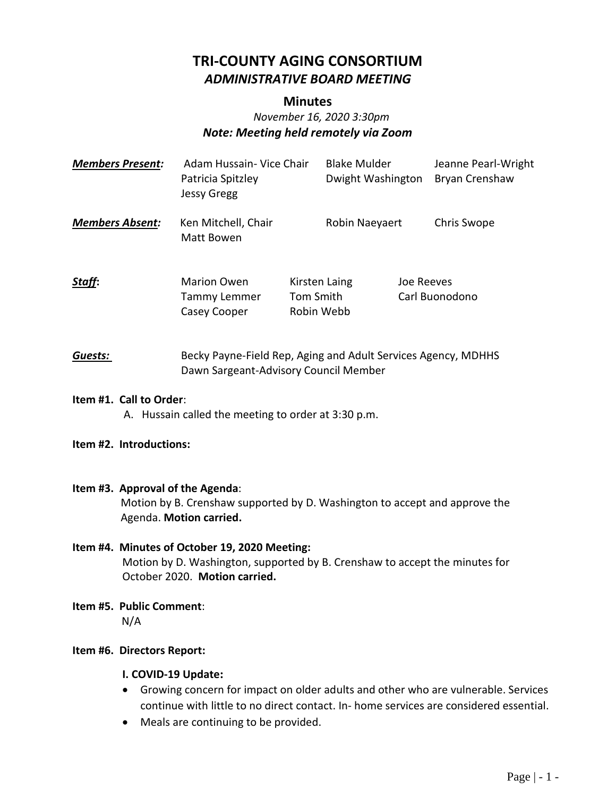# **TRI-COUNTY AGING CONSORTIUM** *ADMINISTRATIVE BOARD MEETING*

#### **Minutes**

# *November 16, 2020 3:30pm Note: Meeting held remotely via Zoom*

| <b>Members Present:</b>                                                                                                                   | Adam Hussain- Vice Chair<br>Patricia Spitzley<br><b>Jessy Gregg</b>                                                                                           |                                                                                                        | <b>Blake Mulder</b><br>Dwight Washington | Jeanne Pearl-Wright<br>Bryan Crenshaw |  |
|-------------------------------------------------------------------------------------------------------------------------------------------|---------------------------------------------------------------------------------------------------------------------------------------------------------------|--------------------------------------------------------------------------------------------------------|------------------------------------------|---------------------------------------|--|
| <b>Members Absent:</b>                                                                                                                    | Ken Mitchell, Chair<br>Matt Bowen                                                                                                                             |                                                                                                        | Robin Naeyaert                           | Chris Swope                           |  |
| Staff:                                                                                                                                    | Marion Owen<br>Tammy Lemmer<br>Casey Cooper                                                                                                                   | Kirsten Laing<br>Tom Smith<br>Robin Webb                                                               | Joe Reeves                               | Carl Buonodono                        |  |
| Guests:                                                                                                                                   |                                                                                                                                                               | Becky Payne-Field Rep, Aging and Adult Services Agency, MDHHS<br>Dawn Sargeant-Advisory Council Member |                                          |                                       |  |
| Item #1. Call to Order:<br>A. Hussain called the meeting to order at 3:30 p.m.                                                            |                                                                                                                                                               |                                                                                                        |                                          |                                       |  |
| Item #2. Introductions:                                                                                                                   |                                                                                                                                                               |                                                                                                        |                                          |                                       |  |
| Item #3. Approval of the Agenda:<br>Motion by B. Crenshaw supported by D. Washington to accept and approve the<br>Agenda. Motion carried. |                                                                                                                                                               |                                                                                                        |                                          |                                       |  |
|                                                                                                                                           | Item #4. Minutes of October 19, 2020 Meeting:<br>Motion by D. Washington, supported by B. Crenshaw to accept the minutes for<br>October 2020. Motion carried. |                                                                                                        |                                          |                                       |  |
| N/A                                                                                                                                       | Item #5. Public Comment:                                                                                                                                      |                                                                                                        |                                          |                                       |  |
| Item #6. Directors Report:                                                                                                                |                                                                                                                                                               |                                                                                                        |                                          |                                       |  |

#### **I. COVID-19 Update:**

- Growing concern for impact on older adults and other who are vulnerable. Services continue with little to no direct contact. In- home services are considered essential.
- Meals are continuing to be provided.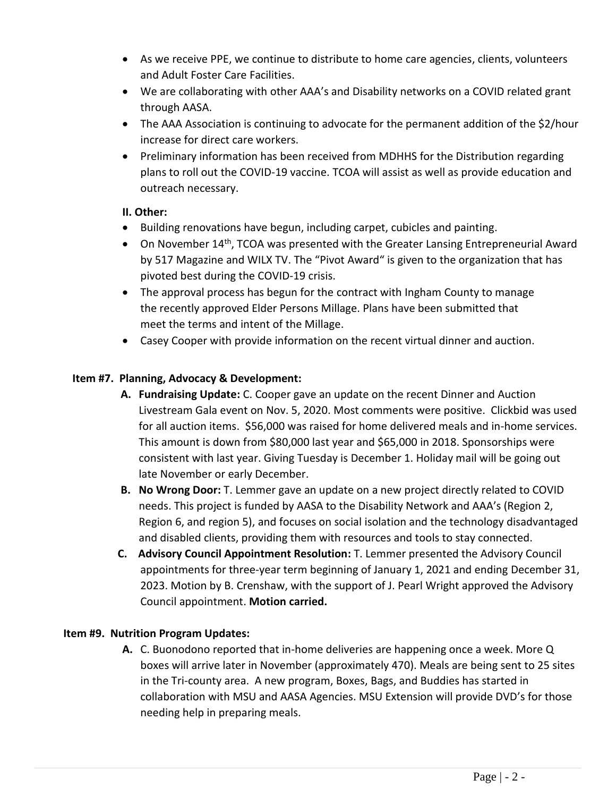- As we receive PPE, we continue to distribute to home care agencies, clients, volunteers and Adult Foster Care Facilities.
- We are collaborating with other AAA's and Disability networks on a COVID related grant through AASA.
- The AAA Association is continuing to advocate for the permanent addition of the \$2/hour increase for direct care workers.
- Preliminary information has been received from MDHHS for the Distribution regarding plans to roll out the COVID-19 vaccine. TCOA will assist as well as provide education and outreach necessary.

## **II. Other:**

- Building renovations have begun, including carpet, cubicles and painting.
- On November 14<sup>th</sup>, TCOA was presented with the Greater Lansing Entrepreneurial Award by 517 Magazine and WILX TV. The "Pivot Award" is given to the organization that has pivoted best during the COVID-19 crisis.
- The approval process has begun for the contract with Ingham County to manage the recently approved Elder Persons Millage. Plans have been submitted that meet the terms and intent of the Millage.
- Casey Cooper with provide information on the recent virtual dinner and auction.

## **Item #7. Planning, Advocacy & Development:**

- **A. Fundraising Update:** C. Cooper gave an update on the recent Dinner and Auction Livestream Gala event on Nov. 5, 2020. Most comments were positive. Clickbid was used for all auction items. \$56,000 was raised for home delivered meals and in-home services. This amount is down from \$80,000 last year and \$65,000 in 2018. Sponsorships were consistent with last year. Giving Tuesday is December 1. Holiday mail will be going out late November or early December.
- **B. No Wrong Door:** T. Lemmer gave an update on a new project directly related to COVID needs. This project is funded by AASA to the Disability Network and AAA's (Region 2, Region 6, and region 5), and focuses on social isolation and the technology disadvantaged and disabled clients, providing them with resources and tools to stay connected.
- **C. Advisory Council Appointment Resolution:** T. Lemmer presented the Advisory Council appointments for three-year term beginning of January 1, 2021 and ending December 31, 2023. Motion by B. Crenshaw, with the support of J. Pearl Wright approved the Advisory Council appointment. **Motion carried.**

#### **Item #9. Nutrition Program Updates:**

**A.** C. Buonodono reported that in-home deliveries are happening once a week. More Q boxes will arrive later in November (approximately 470). Meals are being sent to 25 sites in the Tri-county area. A new program, Boxes, Bags, and Buddies has started in collaboration with MSU and AASA Agencies. MSU Extension will provide DVD's for those needing help in preparing meals.